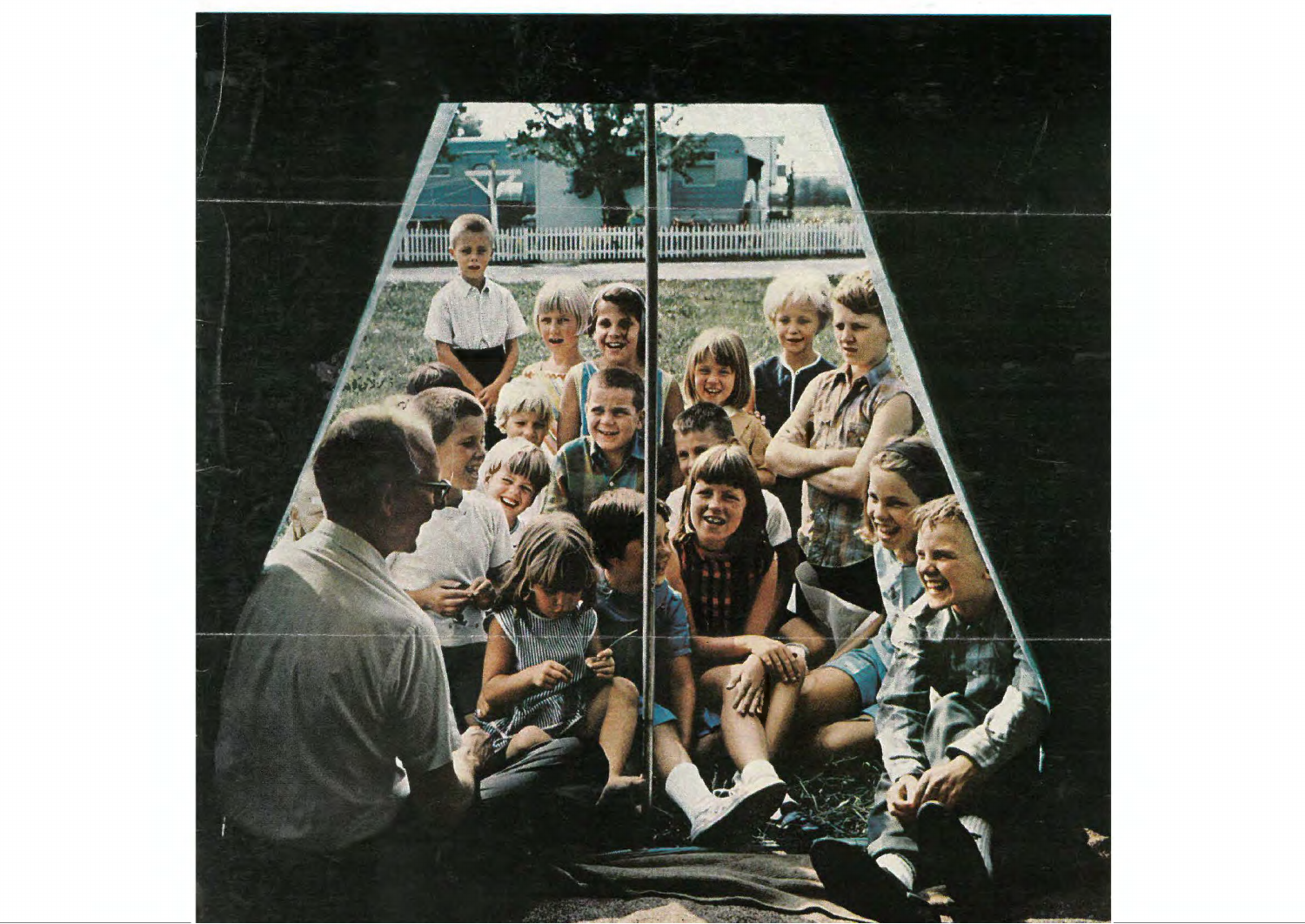